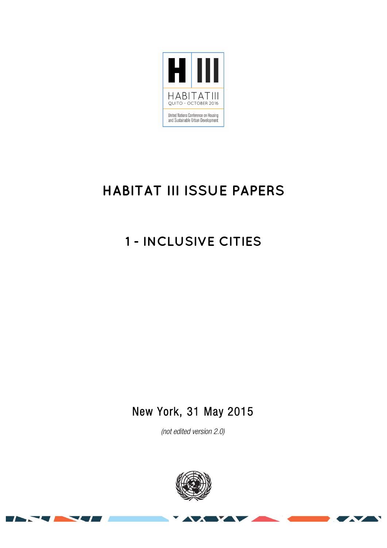

# **HABITAT III ISSUE PAPERS**

# **1 - INCLUSIVE CITIES**

# New York, 31 May 2015

*(not edited version* 2.0)



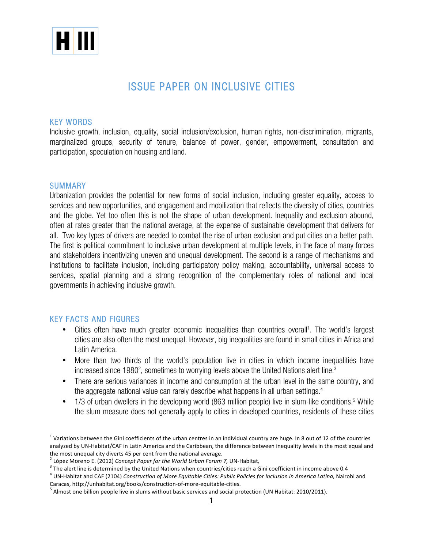

# ISSUE PAPER ON INCLUSIVE CITIES

#### KEY WORDS

Inclusive growth, inclusion, equality, social inclusion/exclusion, human rights, non-discrimination, migrants, marginalized groups, security of tenure, balance of power, gender, empowerment, consultation and participation, speculation on housing and land.

#### SUMMARY

Urbanization provides the potential for new forms of social inclusion, including greater equality, access to services and new opportunities, and engagement and mobilization that reflects the diversity of cities, countries and the globe. Yet too often this is not the shape of urban development. Inequality and exclusion abound, often at rates greater than the national average, at the expense of sustainable development that delivers for all. Two key types of drivers are needed to combat the rise of urban exclusion and put cities on a better path. The first is political commitment to inclusive urban development at multiple levels, in the face of many forces and stakeholders incentivizing uneven and unequal development. The second is a range of mechanisms and institutions to facilitate inclusion, including participatory policy making, accountability, universal access to services, spatial planning and a strong recognition of the complementary roles of national and local governments in achieving inclusive growth.

#### KEY FACTS AND FIGURES

- Cities often have much greater economic inequalities than countries overall<sup>1</sup>. The world's largest cities are also often the most unequal. However, big inequalities are found in small cities in Africa and Latin America.
- More than two thirds of the world's population live in cities in which income inequalities have increased since 1980<sup>2</sup>, sometimes to worrying levels above the United Nations alert line. $^3$
- There are serious variances in income and consumption at the urban level in the same country, and the aggregate national value can rarely describe what happens in all urban settings.<sup>4</sup>
- 1/3 of urban dwellers in the developing world (863 million people) live in slum-like conditions.<sup>5</sup> While the slum measure does not generally apply to cities in developed countries, residents of these cities

<sup>&</sup>lt;sup>1</sup> Variations between the Gini coefficients of the urban centres in an individual country are huge. In 8 out of 12 of the countries analyzed by UN-Habitat/CAF in Latin America and the Caribbean, the difference between inequality levels in the most equal and

the most unequal city diverts 45 per cent from the national average.<br><sup>2</sup> López Moreno E. (2012) *Concept Paper for the World Urban Forum 7,* UN-Habitat,<br><sup>3</sup> The alert line is determined by the United Nations when countries

<sup>&</sup>lt;sup>4</sup> UN-Habitat and CAF (2104) *Construction of More Equitable Cities: Public Policies for Inclusion in America Latina, Nairobi and* Caracas, http://unhabitat.org/books/construction-of-more-equitable-cities.<br>
<sup>5</sup> Almost one billion people live in slums without basic services and social protection (UN Habitat: 2010/2011).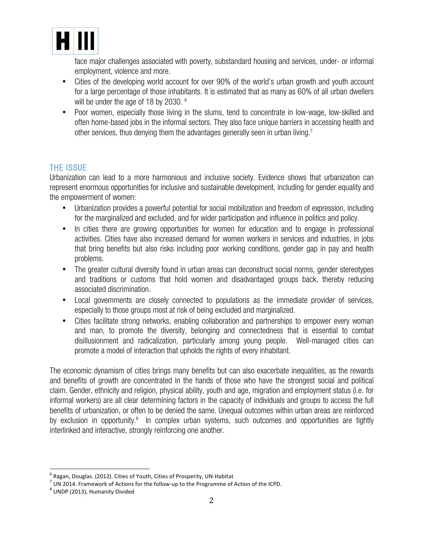

face major challenges associated with poverty, substandard housing and services, under- or informal employment, violence and more.

- Cities of the developing world account for over 90% of the world's urban growth and youth account for a large percentage of those inhabitants. It is estimated that as many as 60% of all urban dwellers will be under the age of 18 by 2030. <sup>6</sup>
- Poor women, especially those living in the slums, tend to concentrate in low-wage, low-skilled and often home-based jobs in the informal sectors. They also face unique barriers in accessing health and other services, thus denying them the advantages generally seen in urban living.<sup>7</sup>

### THE ISSUE

Urbanization can lead to a more harmonious and inclusive society. Evidence shows that urbanization can represent enormous opportunities for inclusive and sustainable development, including for gender equality and the empowerment of women:

- Urbanization provides a powerful potential for social mobilization and freedom of expression, including for the marginalized and excluded, and for wider participation and influence in politics and policy.
- In cities there are growing opportunities for women for education and to engage in professional activities. Cities have also increased demand for women workers in services and industries, in jobs that bring benefits but also risks including poor working conditions, gender gap in pay and health problems.
- The greater cultural diversity found in urban areas can deconstruct social norms, gender stereotypes and traditions or customs that hold women and disadvantaged groups back, thereby reducing associated discrimination.
- Local governments are closely connected to populations as the immediate provider of services, especially to those groups most at risk of being excluded and marginalized.
- Cities facilitate strong networks, enabling collaboration and partnerships to empower every woman and man, to promote the diversity, belonging and connectedness that is essential to combat disillusionment and radicalization, particularly among young people. Well-managed cities can promote a model of interaction that upholds the rights of every inhabitant.

The economic dynamism of cities brings many benefits but can also exacerbate inequalities, as the rewards and benefits of growth are concentrated in the hands of those who have the strongest social and political claim. Gender, ethnicity and religion, physical ability, youth and age, migration and employment status (i.e. for informal workers) are all clear determining factors in the capacity of individuals and groups to access the full benefits of urbanization, or often to be denied the same. Unequal outcomes within urban areas are reinforced by exclusion in opportunity.<sup>8</sup> In complex urban systems, such outcomes and opportunities are tightly interlinked and interactive, strongly reinforcing one another.

<sup>&</sup>lt;sup>6</sup> Ragan, Douglas. (2012). Cities of Youth, Cities of Prosperity, UN-Habitat<br>
<sup>7</sup> UN 2014. Framework of Actions for the follow-up to the Programme of Action of the ICPD.<br>
<sup>8</sup> UNDP (2013), Humanity Divided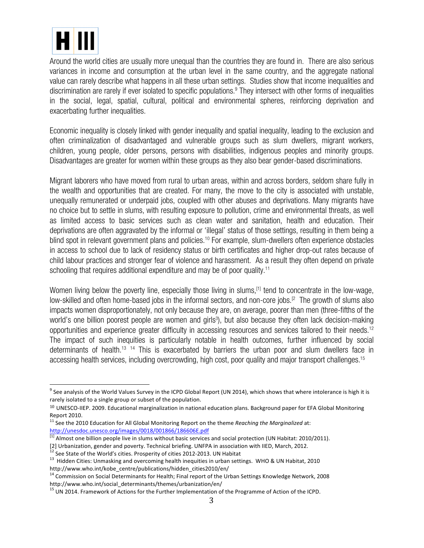

Around the world cities are usually more unequal than the countries they are found in. There are also serious variances in income and consumption at the urban level in the same country, and the aggregate national value can rarely describe what happens in all these urban settings. Studies show that income inequalities and discrimination are rarely if ever isolated to specific populations. <sup>9</sup> They intersect with other forms of inequalities in the social, legal, spatial, cultural, political and environmental spheres, reinforcing deprivation and exacerbating further inequalities.

Economic inequality is closely linked with gender inequality and spatial inequality, leading to the exclusion and often criminalization of disadvantaged and vulnerable groups such as slum dwellers, migrant workers, children, young people, older persons, persons with disabilities, indigenous peoples and minority groups. Disadvantages are greater for women within these groups as they also bear gender-based discriminations.

Migrant laborers who have moved from rural to urban areas, within and across borders, seldom share fully in the wealth and opportunities that are created. For many, the move to the city is associated with unstable, unequally remunerated or underpaid jobs, coupled with other abuses and deprivations. Many migrants have no choice but to settle in slums, with resulting exposure to pollution, crime and environmental threats, as well as limited access to basic services such as clean water and sanitation, health and education. Their deprivations are often aggravated by the informal or 'illegal' status of those settings, resulting in them being a blind spot in relevant government plans and policies.<sup>10</sup> For example, slum-dwellers often experience obstacles in access to school due to lack of residency status or birth certificates and higher drop-out rates because of child labour practices and stronger fear of violence and harassment. As a result they often depend on private schooling that requires additional expenditure and may be of poor quality.<sup>11</sup>

Women living below the poverty line, especially those living in slums,<sup>[1]</sup> tend to concentrate in the low-wage, low-skilled and often home-based jobs in the informal sectors, and non-core jobs.<sup>[2]</sup> The growth of slums also impacts women disproportionately, not only because they are, on average, poorer than men (three-fifths of the world's one billion poorest people are women and girls<sup>3</sup>), but also because they often lack decision-making opportunities and experience greater difficulty in accessing resources and services tailored to their needs. 12 The impact of such inequities is particularly notable in health outcomes, further influenced by social determinants of health.<sup>13 14</sup> This is exacerbated by barriers the urban poor and slum dwellers face in accessing health services, including overcrowding, high cost, poor quality and major transport challenges.<sup>15</sup>

 $9$  See analysis of the World Values Survey in the ICPD Global Report (UN 2014), which shows that where intolerance is high it is rarely isolated to a single group or subset of the population.

 $10$  UNESCO-IIEP. 2009. Educational marginalization in national education plans. Background paper for EFA Global Monitoring Report 2010.

<sup>&</sup>lt;sup>11</sup> See the 2010 Education for All Global Monitoring Report on the theme *Reaching the Marginalized* at: http://unesdoc.unesco.org/images/0018/001866/186606E.pdf

 $\frac{1}{11}$  Almost one billion people live in slums without basic services and social protection (UN Habitat: 2010/2011).<br>[2] Urbanization, gender and poverty. Technical briefing. UNFPA in association with IIED, March, 201

 $^{12}$  See State of the World's cities. Prosperity of cities 2012-2013. UN Habitat<br> $^{13}$  Hidden Cities: Unmasking and overcoming health inequities in urban settings. WHO & UN Habitat, 2010 http://www.who.int/kobe\_centre/publications/hidden\_cities2010/en/

 $14$  Commission on Social Determinants for Health; Final report of the Urban Settings Knowledge Network, 2008 http://www.who.int/social\_determinants/themes/urbanization/en/

<sup>&</sup>lt;sup>15</sup> UN 2014. Framework of Actions for the Further Implementation of the Programme of Action of the ICPD.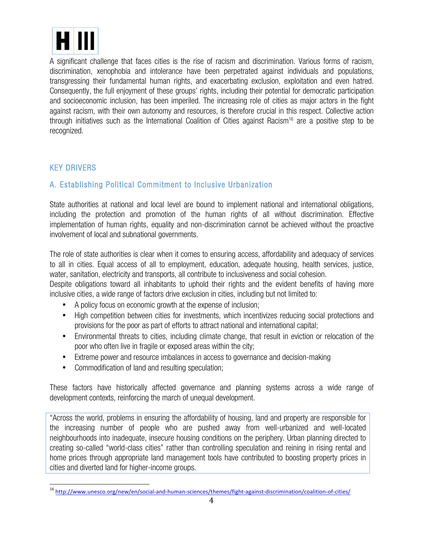

A significant challenge that faces cities is the rise of racism and discrimination. Various forms of racism, discrimination, xenophobia and intolerance have been perpetrated against individuals and populations, transgressing their fundamental human rights, and exacerbating exclusion, exploitation and even hatred. Consequently, the full enjoyment of these groups' rights, including their potential for democratic participation and socioeconomic inclusion, has been imperiled. The increasing role of cities as major actors in the fight against racism, with their own autonomy and resources, is therefore crucial in this respect. Collective action through initiatives such as the International Coalition of Cities against Racism<sup>16</sup> are a positive step to be recognized.

### KEY DRIVERS

## A. Establishing Political Commitment to Inclusive Urbanization

State authorities at national and local level are bound to implement national and international obligations, including the protection and promotion of the human rights of all without discrimination. Effective implementation of human rights, equality and non-discrimination cannot be achieved without the proactive involvement of local and subnational governments.

The role of state authorities is clear when it comes to ensuring access, affordability and adequacy of services to all in cities. Equal access of all to employment, education, adequate housing, health services, justice, water, sanitation, electricity and transports, all contribute to inclusiveness and social cohesion.

Despite obligations toward all inhabitants to uphold their rights and the evident benefits of having more inclusive cities, a wide range of factors drive exclusion in cities, including but not limited to:

- A policy focus on economic growth at the expense of inclusion;
- High competition between cities for investments, which incentivizes reducing social protections and provisions for the poor as part of efforts to attract national and international capital;
- Environmental threats to cities, including climate change, that result in eviction or relocation of the poor who often live in fragile or exposed areas within the city;
- Extreme power and resource imbalances in access to governance and decision-making
- Commodification of land and resulting speculation;

These factors have historically affected governance and planning systems across a wide range of development contexts, reinforcing the march of unequal development.

"Across the world, problems in ensuring the affordability of housing, land and property are responsible for the increasing number of people who are pushed away from well-urbanized and well-located neighbourhoods into inadequate, insecure housing conditions on the periphery. Urban planning directed to creating so-called "world-class cities" rather than controlling speculation and reining in rising rental and home prices through appropriate land management tools have contributed to boosting property prices in cities and diverted land for higher-income groups.

 <sup>16</sup> http://www.unesco.org/new/en/social-and-human-sciences/themes/fight-against-discrimination/coalition-of-cities/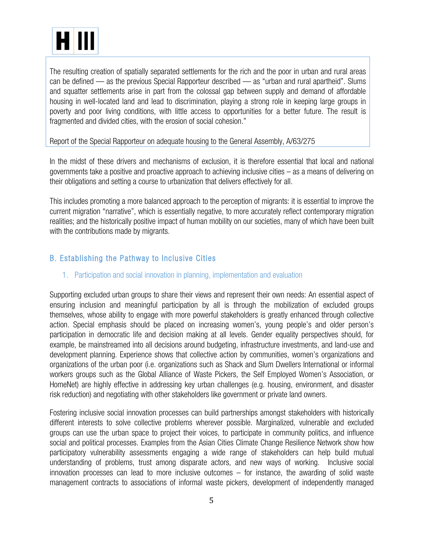

The resulting creation of spatially separated settlements for the rich and the poor in urban and rural areas can be defined — as the previous Special Rapporteur described — as "urban and rural apartheid". Slums and squatter settlements arise in part from the colossal gap between supply and demand of affordable housing in well-located land and lead to discrimination, playing a strong role in keeping large groups in poverty and poor living conditions, with little access to opportunities for a better future. The result is fragmented and divided cities, with the erosion of social cohesion."

#### Report of the Special Rapporteur on adequate housing to the General Assembly, A/63/275

In the midst of these drivers and mechanisms of exclusion, it is therefore essential that local and national governments take a positive and proactive approach to achieving inclusive cities – as a means of delivering on their obligations and setting a course to urbanization that delivers effectively for all.

This includes promoting a more balanced approach to the perception of migrants: it is essential to improve the current migration "narrative", which is essentially negative, to more accurately reflect contemporary migration realities; and the historically positive impact of human mobility on our societies, many of which have been built with the contributions made by migrants.

## B. Establishing the Pathway to Inclusive Cities

#### 1. Participation and social innovation in planning, implementation and evaluation

Supporting excluded urban groups to share their views and represent their own needs: An essential aspect of ensuring inclusion and meaningful participation by all is through the mobilization of excluded groups themselves, whose ability to engage with more powerful stakeholders is greatly enhanced through collective action. Special emphasis should be placed on increasing women's, young people's and older person's participation in democratic life and decision making at all levels. Gender equality perspectives should, for example, be mainstreamed into all decisions around budgeting, infrastructure investments, and land-use and development planning. Experience shows that collective action by communities, women's organizations and organizations of the urban poor (i.e. organizations such as Shack and Slum Dwellers International or informal workers groups such as the Global Alliance of Waste Pickers, the Self Employed Women's Association, or HomeNet) are highly effective in addressing key urban challenges (e.g. housing, environment, and disaster risk reduction) and negotiating with other stakeholders like government or private land owners.

Fostering inclusive social innovation processes can build partnerships amongst stakeholders with historically different interests to solve collective problems wherever possible. Marginalized, vulnerable and excluded groups can use the urban space to project their voices, to participate in community politics, and influence social and political processes. Examples from the Asian Cities Climate Change Resilience Network show how participatory vulnerability assessments engaging a wide range of stakeholders can help build mutual understanding of problems, trust among disparate actors, and new ways of working. Inclusive social innovation processes can lead to more inclusive outcomes – for instance, the awarding of solid waste management contracts to associations of informal waste pickers, development of independently managed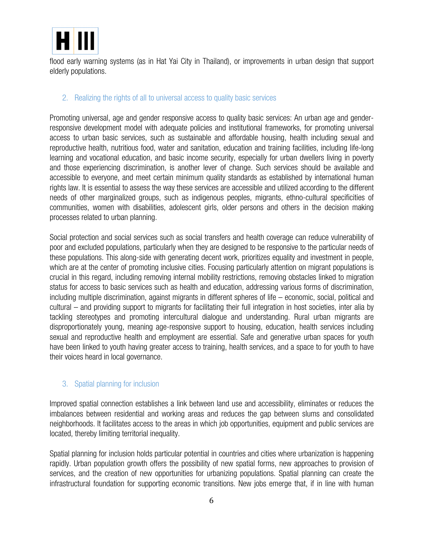

flood early warning systems (as in Hat Yai City in Thailand), or improvements in urban design that support elderly populations.

#### 2. Realizing the rights of all to universal access to quality basic services

Promoting universal, age and gender responsive access to quality basic services: An urban age and genderresponsive development model with adequate policies and institutional frameworks, for promoting universal access to urban basic services, such as sustainable and affordable housing, health including sexual and reproductive health, nutritious food, water and sanitation, education and training facilities, including life-long learning and vocational education, and basic income security, especially for urban dwellers living in poverty and those experiencing discrimination, is another lever of change. Such services should be available and accessible to everyone, and meet certain minimum quality standards as established by international human rights law. It is essential to assess the way these services are accessible and utilized according to the different needs of other marginalized groups, such as indigenous peoples, migrants, ethno-cultural specificities of communities, women with disabilities, adolescent girls, older persons and others in the decision making processes related to urban planning.

Social protection and social services such as social transfers and health coverage can reduce vulnerability of poor and excluded populations, particularly when they are designed to be responsive to the particular needs of these populations. This along-side with generating decent work, prioritizes equality and investment in people, which are at the center of promoting inclusive cities. Focusing particularly attention on migrant populations is crucial in this regard, including removing internal mobility restrictions, removing obstacles linked to migration status for access to basic services such as health and education, addressing various forms of discrimination, including multiple discrimination, against migrants in different spheres of life – economic, social, political and cultural – and providing support to migrants for facilitating their full integration in host societies, inter alia by tackling stereotypes and promoting intercultural dialogue and understanding. Rural urban migrants are disproportionately young, meaning age-responsive support to housing, education, health services including sexual and reproductive health and employment are essential. Safe and generative urban spaces for youth have been linked to youth having greater access to training, health services, and a space to for youth to have their voices heard in local governance.

#### 3. Spatial planning for inclusion

Improved spatial connection establishes a link between land use and accessibility, eliminates or reduces the imbalances between residential and working areas and reduces the gap between slums and consolidated neighborhoods. It facilitates access to the areas in which job opportunities, equipment and public services are located, thereby limiting territorial inequality.

Spatial planning for inclusion holds particular potential in countries and cities where urbanization is happening rapidly. Urban population growth offers the possibility of new spatial forms, new approaches to provision of services, and the creation of new opportunities for urbanizing populations. Spatial planning can create the infrastructural foundation for supporting economic transitions. New jobs emerge that, if in line with human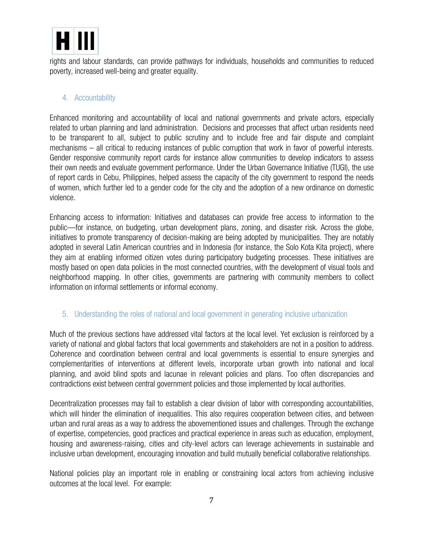

rights and labour standards, can provide pathways for individuals, households and communities to reduced poverty, increased well-being and greater equality.

#### 4. Accountability

Enhanced monitoring and accountability of local and national governments and private actors, especially related to urban planning and land administration. Decisions and processes that affect urban residents need to be transparent to all, subject to public scrutiny and to include free and fair dispute and complaint mechanisms – all critical to reducing instances of public corruption that work in favor of powerful interests. Gender responsive community report cards for instance allow communities to develop indicators to assess their own needs and evaluate government performance. Under the Urban Governance Initiative (TUGI), the use of report cards in Cebu, Philippines, helped assess the capacity of the city government to respond the needs of women, which further led to a gender code for the city and the adoption of a new ordinance on domestic violence.

Enhancing access to information: Initiatives and databases can provide free access to information to the public—for instance, on budgeting, urban development plans, zoning, and disaster risk. Across the globe, initiatives to promote transparency of decision-making are being adopted by municipalities. They are notably adopted in several Latin American countries and in Indonesia (for instance, the Solo Kota Kita project), where they aim at enabling informed citizen votes during participatory budgeting processes. These initiatives are mostly based on open data policies in the most connected countries, with the development of visual tools and neighborhood mapping. In other cities, governments are partnering with community members to collect information on informal settlements or informal economy.

#### 5. Understanding the roles of national and local government in generating inclusive urbanization

Much of the previous sections have addressed vital factors at the local level. Yet exclusion is reinforced by a variety of national and global factors that local governments and stakeholders are not in a position to address. Coherence and coordination between central and local governments is essential to ensure synergies and complementarities of interventions at different levels, incorporate urban growth into national and local planning, and avoid blind spots and lacunae in relevant policies and plans. Too often discrepancies and contradictions exist between central government policies and those implemented by local authorities.

Decentralization processes may fail to establish a clear division of labor with corresponding accountabilities, which will hinder the elimination of inequalities. This also requires cooperation between cities, and between urban and rural areas as a way to address the abovementioned issues and challenges. Through the exchange of expertise, competencies, good practices and practical experience in areas such as education, employment, housing and awareness-raising, cities and city-level actors can leverage achievements in sustainable and inclusive urban development, encouraging innovation and build mutually beneficial collaborative relationships.

National policies play an important role in enabling or constraining local actors from achieving inclusive outcomes at the local level. For example: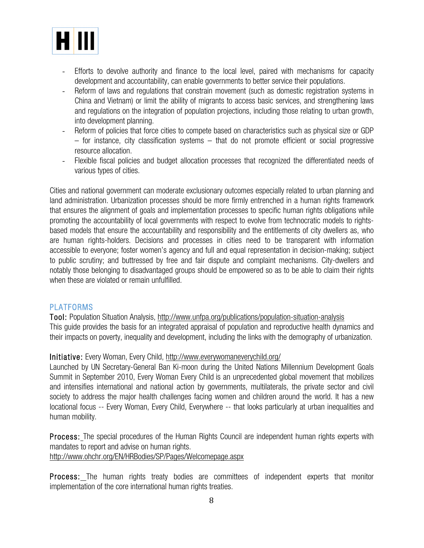

- Efforts to devolve authority and finance to the local level, paired with mechanisms for capacity development and accountability, can enable governments to better service their populations.
- Reform of laws and regulations that constrain movement (such as domestic registration systems in China and Vietnam) or limit the ability of migrants to access basic services, and strengthening laws and regulations on the integration of population projections, including those relating to urban growth, into development planning.
- Reform of policies that force cities to compete based on characteristics such as physical size or GDP – for instance, city classification systems – that do not promote efficient or social progressive resource allocation.
- Flexible fiscal policies and budget allocation processes that recognized the differentiated needs of various types of cities.

Cities and national government can moderate exclusionary outcomes especially related to urban planning and land administration. Urbanization processes should be more firmly entrenched in a human rights framework that ensures the alignment of goals and implementation processes to specific human rights obligations while promoting the accountability of local governments with respect to evolve from technocratic models to rightsbased models that ensure the accountability and responsibility and the entitlements of city dwellers as, who are human rights-holders. Decisions and processes in cities need to be transparent with information accessible to everyone; foster women's agency and full and equal representation in decision-making; subject to public scrutiny; and buttressed by free and fair dispute and complaint mechanisms. City-dwellers and notably those belonging to disadvantaged groups should be empowered so as to be able to claim their rights when these are violated or remain unfulfilled.

#### PLATFORMS

Tool: Population Situation Analysis, http://www.unfpa.org/publications/population-situation-analysis This guide provides the basis for an integrated appraisal of population and reproductive health dynamics and their impacts on poverty, inequality and development, including the links with the demography of urbanization.

#### Initiative: Every Woman, Every Child, http://www.everywomaneverychild.org/

Launched by UN Secretary-General Ban Ki-moon during the United Nations Millennium Development Goals Summit in September 2010, Every Woman Every Child is an unprecedented global movement that mobilizes and intensifies international and national action by governments, multilaterals, the private sector and civil society to address the major health challenges facing women and children around the world. It has a new locational focus -- Every Woman, Every Child, Everywhere -- that looks particularly at urban inequalities and human mobility.

Process: The special procedures of the Human Rights Council are independent human rights experts with mandates to report and advise on human rights.

http://www.ohchr.org/EN/HRBodies/SP/Pages/Welcomepage.aspx

Process: The human rights treaty bodies are committees of independent experts that monitor implementation of the core international human rights treaties.